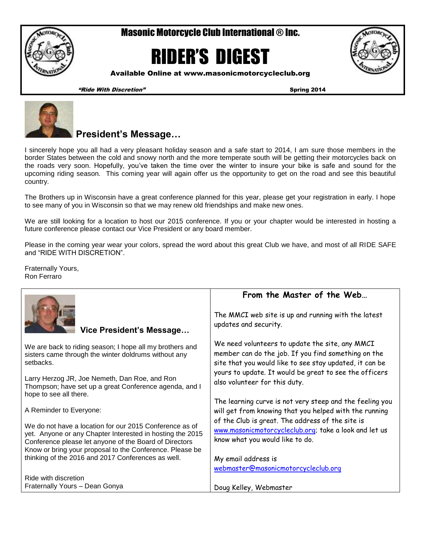Masonic Motorcycle Club International ® Inc.

# RIDER'S DIGEST



Available Online at www.masonicmotorcycleclub.org

"Ride With Discretion" Spring 2014



# **President's Message…**

I sincerely hope you all had a very pleasant holiday season and a safe start to 2014, I am sure those members in the border States between the cold and snowy north and the more temperate south will be getting their motorcycles back on the roads very soon. Hopefully, you've taken the time over the winter to insure your bike is safe and sound for the upcoming riding season. This coming year will again offer us the opportunity to get on the road and see this beautiful country.

The Brothers up in Wisconsin have a great conference planned for this year, please get your registration in early. I hope to see many of you in Wisconsin so that we may renew old friendships and make new ones.

We are still looking for a location to host our 2015 conference. If you or your chapter would be interested in hosting a future conference please contact our Vice President or any board member.

Please in the coming year wear your colors, spread the word about this great Club we have, and most of all RIDE SAFE and "RIDE WITH DISCRETION".

Fraternally Yours, Ron Ferraro

|                                                                                                                                                                                                                                            | From the Master of the Web                                                                                                                                        |  |  |  |  |
|--------------------------------------------------------------------------------------------------------------------------------------------------------------------------------------------------------------------------------------------|-------------------------------------------------------------------------------------------------------------------------------------------------------------------|--|--|--|--|
| Vice President's Message                                                                                                                                                                                                                   | The MMCI web site is up and running with the latest<br>updates and security.                                                                                      |  |  |  |  |
| We are back to riding season; I hope all my brothers and<br>sisters came through the winter doldrums without any<br>setbacks.                                                                                                              | We need volunteers to update the site, any MMCI<br>member can do the job. If you find something on the<br>site that you would like to see stay updated, it can be |  |  |  |  |
| Larry Herzog JR, Joe Nemeth, Dan Roe, and Ron<br>Thompson; have set up a great Conference agenda, and I<br>hope to see all there.                                                                                                          | yours to update. It would be great to see the officers<br>also volunteer for this duty.                                                                           |  |  |  |  |
| A Reminder to Everyone:                                                                                                                                                                                                                    | The learning curve is not very steep and the feeling you<br>will get from knowing that you helped with the running                                                |  |  |  |  |
| We do not have a location for our 2015 Conference as of<br>yet. Anyone or any Chapter Interested in hosting the 2015<br>Conference please let anyone of the Board of Directors<br>Know or bring your proposal to the Conference. Please be | of the Club is great. The address of the site is<br>www.masonicmotorcycleclub.org; take a look and let us<br>know what you would like to do.                      |  |  |  |  |
| thinking of the 2016 and 2017 Conferences as well.                                                                                                                                                                                         | My email address is                                                                                                                                               |  |  |  |  |
|                                                                                                                                                                                                                                            | webmaster@masonicmotorcycleclub.org                                                                                                                               |  |  |  |  |
| Ride with discretion                                                                                                                                                                                                                       |                                                                                                                                                                   |  |  |  |  |
| Fraternally Yours - Dean Gonya                                                                                                                                                                                                             | Doug Kelley, Webmaster                                                                                                                                            |  |  |  |  |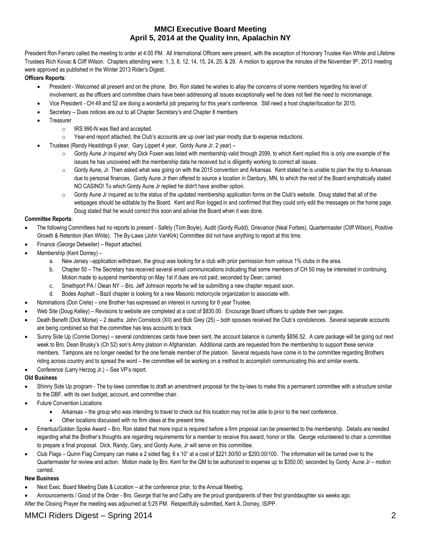# **MMCI Executive Board Meeting April 5, 2014 at the Quality Inn, Apalachin NY**

President Ron Ferraro called the meeting to order at 4:00 PM. All International Officers were present, with the exception of Honorary Trustee Ken White and Lifetime Trustees Rich Kovac & Cliff Wilson. Chapters attending were: 1, 3, 8, 12, 14, 15, 24, 25, & 29. A motion to approve the minutes of the November 9<sup>th</sup>, 2013 meeting were approved as published in the Winter 2013 Rider's Digest.

# **Officers Reports**:

- President Welcomed all present and on the phone. Bro. Ron stated he wishes to allay the concerns of some members regarding his level of involvement, as the officers and committee chairs have been addressing all issues exceptionally well he does not feel the need to micromanage.
- Vice President CH 49 and 52 are doing a wonderful job preparing for this year's conference. Still need a host chapter/location for 2015.
- Secretary Dues notices are out to all Chapter Secretary's and Chapter 8 members
- **Treasurer** 
	- o IRS 990-N was filed and accepted.
	- $\circ$  Year-end report attached, the Club's accounts are up over last year mostly due to expense reductions.
	- Trustees (Randy Headdings 6 year, Gary Lippert 4 year, Gordy Aune Jr. 2 year)
		- $\circ$  Gordy Aune Jr inquired why Dick Foxen was listed with membership valid through 2099, to which Kent replied this is only one example of the issues he has uncovered with the membership data he received but is diligently working to correct all issues.
		- o Gordy Aune, Jr. Then asked what was going on with the 2015 convention and Arkansas. Kent stated he is unable to plan the trip to Arkansas due to personal finances. Gordy Aune Jr then offered to source a location in Danbury, MN, to which the rest of the Board emphatically stated NO CASINO! To which Gordy Aune Jr replied he didn't have another option.
		- $\circ$  Gordy Aune Jr inquired as to the status of the updated membership application forms on the Club's website. Doug stated that all of the webpages should be editable by the Board. Kent and Ron logged in and confirmed that they could only edit the messages on the home page. Doug stated that he would correct this soon and advise the Board when it was done.

# **Committee Reports**:

- The following Committees had no reports to present Safety (Tom Boyle), Audit (Gordy Rudd), Grievance (Neal Forbes), Quartermaster (Cliff Wilson), Positive Growth & Retention (Ken White). The By-Laws (John VanKirk) Committee did not have anything to report at this time.
- Finance (George Detweiler) Report attached.
- Membership (Kent Dorney)
	- a. New Jersey –application withdrawn, the group was looking for a club with prior permission from various 1% clubs in the area.
	- b. Chapter 50 The Secretary has received several email communications indicating that some members of CH 50 may be interested in continuing. Motion made to suspend membership on May 1st if dues are not paid; seconded by Dean; carried.
	- c. Smethport PA / Olean NY Bro. Jeff Johnson reports he will be submitting a new chapter request soon.
	- d. Bodes Asphalt Bazil chapter is looking for a new Masonic motorcycle organization to associate with.
- Nominations (Don Crete) one Brother has expressed an interest in running for 6 year Trustee.
- Web Site (Doug Kelley) Revisions to website are completed at a cost of \$830.00. Encourage Board officers to update their own pages.
- Death Benefit (Dick Morse) 2 deaths: John Comstock (XII) and Bob Grey (25) both spouses received the Club's condolences. Several separate accounts are being combined so that the committee has less accounts to track.
- Sunny Side Up (Connie Dorney) several condolences cards have been sent, the account balance is currently \$856.52. A care package will be going out next week to Bro. Dean Brusky's (Ch 52) son's Army platoon in Afghanistan. Additional cards are requested from the membership to support these service members. Tampons are no longer needed for the one female member of the platoon. Several requests have come in to the committee regarding Brothers riding across country and to spread the word – the committee will be working on a method to accomplish communicating this and similar events.
- Conference (Larry Herzog Jr.) See VP's report.

# **Old Business**

- Shinny Side Up program The by-laws committee to draft an amendment proposal for the by-laws to make this a permanent committee with a structure similar to the DBF, with its own budget, account, and committee chair.
- Future Convention Locations
	- Arkansas the group who was intending to travel to check out this location may not be able to prior to the next conference.
	- Other locations discussed with no firm ideas at the present time.
- Emeritus/Golden Spoke Award Bro. Ron stated that more input is required before a firm proposal can be presented to the membership. Details are needed regarding what the Brother's thoughts are regarding requirements for a member to receive this award, honor or title. George volunteered to chair a committee to prepare a final proposal. Dick, Randy, Gary, and Gordy Aune, Jr will serve on this committee.
- Club Flags Quinn Flag Company can make a 2 sided flag, 6 x 10" at a cost of \$221.50/50 or \$293.00/100. The information will be turned over to the Quartermaster for review and action. Motion made by Bro. Kent for the QM to be authorized to expense up to \$350.00; seconded by Gordy Aune Jr – motion carried.

# **New Business**

- Next Exec. Board Meeting Date & Location at the conference prior, to the Annual Meeting,
- Announcements / Good of the Order Bro. George that he and Cathy are the proud grandparents of their first granddaughter six weeks ago.
- After the Closing Prayer the meeting was adjourned at 5:25 PM. Respectfully submitted, Kent A. Dorney, IS/PP.

# MMCI Riders Digest – Spring 2014 **2014** 2014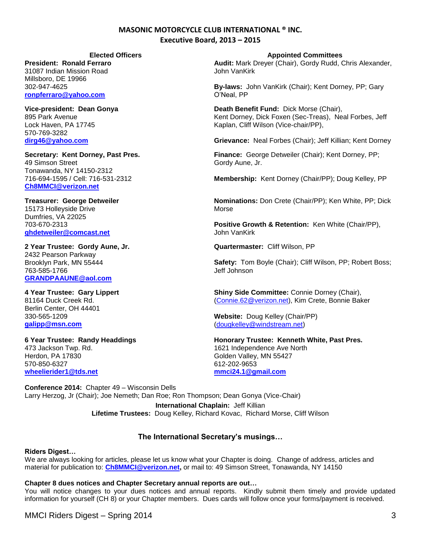# **MASONIC MOTORCYCLE CLUB INTERNATIONAL ® INC. Executive Board, 2013 – 2015**

**President: Ronald Ferraro** 31087 Indian Mission Road Millsboro, DE 19966 302-947-4625 **[ronpferraro@yahoo.com](mailto:ronpferraro@yahoo.com)**

**Vice-president: Dean Gonya** 895 Park Avenue Lock Haven, PA 17745 570-769-3282 **[dirg46@yahoo.com](mailto:dirg46@yahoo.com)**

**Secretary: Kent Dorney, Past Pres.** 49 Simson Street Tonawanda, NY 14150-2312 716-694-1595 / Cell: 716-531-2312 **[Ch8MMCI@verizon.net](mailto:Ch8MMCI@verizon.net)**

# **Treasurer: George Detweiler** 15173 Holleyside Drive

Dumfries, VA 22025 703-670-2313 **[ghdetweiler@comcast.net](mailto:ghdetweiler@comcast.net)** 

## **2 Year Trustee: Gordy Aune, Jr.** 2432 Pearson Parkway Brooklyn Park, MN 55444 763-585-1766 **[GRANDPAAUNE@aol.com](mailto:GRANDPAAUNE@aol.com)**

**4 Year Trustee: Gary Lippert** 81164 Duck Creek Rd. Berlin Center, OH 44401 330-565-1209 **[galipp@msn.com](mailto:galipp@msn.com)**

**6 Year Trustee: Randy Headdings** 473 Jackson Twp. Rd. Herdon, PA 17830 570-850-6327 **[wheelierider1@tds.net](mailto:wheelierider1@tds.net)**

**Elected Officers Appointed Committees**

**Audit:** Mark Dreyer (Chair), Gordy Rudd, Chris Alexander, John VanKirk

**By-laws:** John VanKirk (Chair); Kent Dorney, PP; Gary O'Neal, PP

**Death Benefit Fund:** Dick Morse (Chair), Kent Dorney, Dick Foxen (Sec-Treas), Neal Forbes, Jeff Kaplan, Cliff Wilson (Vice-chair/PP),

**Grievance:** Neal Forbes (Chair); Jeff Killian; Kent Dorney

**Finance:** George Detweiler (Chair); Kent Dorney, PP; Gordy Aune, Jr.

**Membership:** Kent Dorney (Chair/PP); Doug Kelley, PP

**Nominations:** Don Crete (Chair/PP); Ken White, PP; Dick Morse

**Positive Growth & Retention:** Ken White (Chair/PP), John VanKirk

**Quartermaster:** Cliff Wilson, PP

**Safety:** Tom Boyle (Chair); Cliff Wilson, PP; Robert Boss; Jeff Johnson

**Shiny Side Committee:** Connie Dorney (Chair), [\(Connie.62@verizon.net\)](mailto:Connie.62@verizon.net), Kim Crete, Bonnie Baker

**Website:** Doug Kelley (Chair/PP) [\(dougkelley@windstream.net\)](mailto:dougkelley@windstream.net)

**Honorary Trustee: Kenneth White, Past Pres.** 1621 Independence Ave North Golden Valley, MN 55427 612-202-9653 **[mmci24.1@gmail.com](mailto:mmci24.1@gmail.com)**

**Conference 2014:** Chapter 49 – Wisconsin Dells Larry Herzog, Jr (Chair); Joe Nemeth; Dan Roe; Ron Thompson; Dean Gonya (Vice-Chair) **International Chaplain:** Jeff Killian **Lifetime Trustees:** Doug Kelley, Richard Kovac, Richard Morse, Cliff Wilson

# **The International Secretary's musings…**

# **Riders Digest…**

We are always looking for articles, please let us know what your Chapter is doing. Change of address, articles and material for publication to: **[Ch8MMCI@verizon.net,](mailto:Ch8MMCI@verizon.net)** or mail to: 49 Simson Street, Tonawanda, NY 14150

# **Chapter 8 dues notices and Chapter Secretary annual reports are out…**

You will notice changes to your dues notices and annual reports. Kindly submit them timely and provide updated information for yourself (CH 8) or your Chapter members. Dues cards will follow once your forms/payment is received.